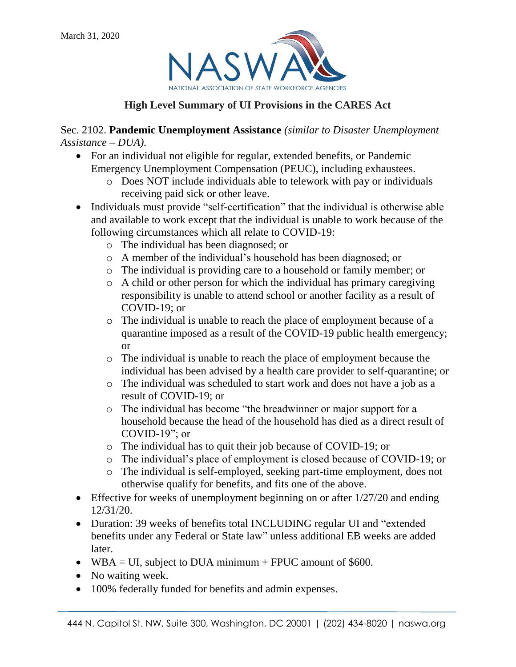

# **High Level Summary of UI Provisions in the CARES Act**

Sec. 2102. **Pandemic Unemployment Assistance** *(similar to Disaster Unemployment Assistance – DUA).* 

- For an individual not eligible for regular, extended benefits, or Pandemic Emergency Unemployment Compensation (PEUC), including exhaustees.
	- o Does NOT include individuals able to telework with pay or individuals receiving paid sick or other leave.
- Individuals must provide "self-certification" that the individual is otherwise able and available to work except that the individual is unable to work because of the following circumstances which all relate to COVID-19:
	- o The individual has been diagnosed; or
	- o A member of the individual's household has been diagnosed; or
	- o The individual is providing care to a household or family member; or
	- o A child or other person for which the individual has primary caregiving responsibility is unable to attend school or another facility as a result of COVID-19; or
	- o The individual is unable to reach the place of employment because of a quarantine imposed as a result of the COVID-19 public health emergency; or
	- o The individual is unable to reach the place of employment because the individual has been advised by a health care provider to self-quarantine; or
	- o The individual was scheduled to start work and does not have a job as a result of COVID-19; or
	- o The individual has become "the breadwinner or major support for a household because the head of the household has died as a direct result of COVID-19"; or
	- o The individual has to quit their job because of COVID-19; or
	- o The individual's place of employment is closed because of COVID-19; or
	- o The individual is self-employed, seeking part-time employment, does not otherwise qualify for benefits, and fits one of the above.
- **Effective for weeks of unemployment beginning on or after 1/27/20 and ending** 12/31/20.
- Duration: 39 weeks of benefits total INCLUDING regular UI and "extended" benefits under any Federal or State law" unless additional EB weeks are added later.
- WBA = UI, subject to DUA minimum + FPUC amount of  $$600$ .
- No waiting week.
- 100% federally funded for benefits and admin expenses.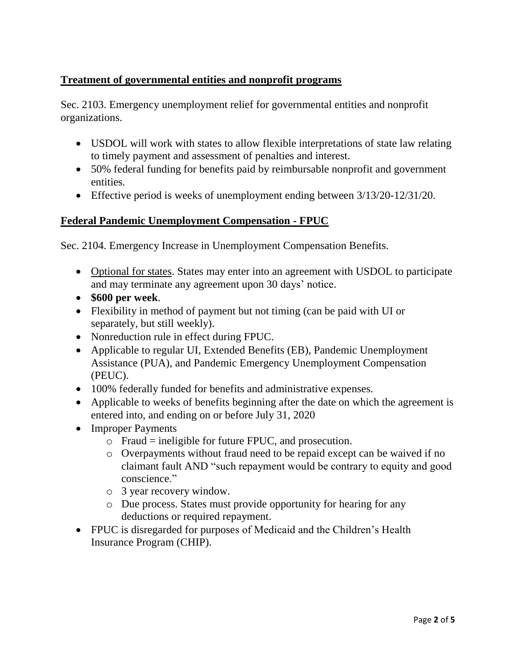## **Treatment of governmental entities and nonprofit programs**

Sec. 2103. Emergency unemployment relief for governmental entities and nonprofit organizations.

- USDOL will work with states to allow flexible interpretations of state law relating to timely payment and assessment of penalties and interest.
- 50% federal funding for benefits paid by reimbursable nonprofit and government entities.
- Effective period is weeks of unemployment ending between 3/13/20-12/31/20.

### **Federal Pandemic Unemployment Compensation - FPUC**

Sec. 2104. Emergency Increase in Unemployment Compensation Benefits.

- Optional for states. States may enter into an agreement with USDOL to participate and may terminate any agreement upon 30 days' notice.
- **\$600 per week**.
- Flexibility in method of payment but not timing (can be paid with UI or separately, but still weekly).
- Nonreduction rule in effect during FPUC.
- Applicable to regular UI, Extended Benefits (EB), Pandemic Unemployment Assistance (PUA), and Pandemic Emergency Unemployment Compensation (PEUC).
- 100% federally funded for benefits and administrative expenses.
- Applicable to weeks of benefits beginning after the date on which the agreement is entered into, and ending on or before July 31, 2020
- Improper Payments
	- $\circ$  Fraud = ineligible for future FPUC, and prosecution.
	- o Overpayments without fraud need to be repaid except can be waived if no claimant fault AND "such repayment would be contrary to equity and good conscience."
	- o 3 year recovery window.
	- o Due process. States must provide opportunity for hearing for any deductions or required repayment.
- FPUC is disregarded for purposes of Medicaid and the Children's Health Insurance Program (CHIP).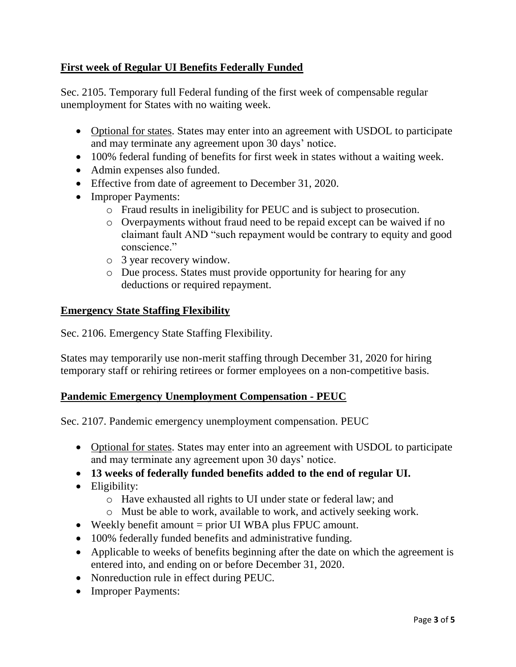### **First week of Regular UI Benefits Federally Funded**

Sec. 2105. Temporary full Federal funding of the first week of compensable regular unemployment for States with no waiting week.

- Optional for states. States may enter into an agreement with USDOL to participate and may terminate any agreement upon 30 days' notice.
- 100% federal funding of benefits for first week in states without a waiting week.
- Admin expenses also funded.
- Effective from date of agreement to December 31, 2020.
- Improper Payments:
	- o Fraud results in ineligibility for PEUC and is subject to prosecution.
	- o Overpayments without fraud need to be repaid except can be waived if no claimant fault AND "such repayment would be contrary to equity and good conscience."
	- o 3 year recovery window.
	- o Due process. States must provide opportunity for hearing for any deductions or required repayment.

#### **Emergency State Staffing Flexibility**

Sec. 2106. Emergency State Staffing Flexibility.

States may temporarily use non-merit staffing through December 31, 2020 for hiring temporary staff or rehiring retirees or former employees on a non-competitive basis.

#### **Pandemic Emergency Unemployment Compensation - PEUC**

Sec. 2107. Pandemic emergency unemployment compensation. PEUC

- Optional for states. States may enter into an agreement with USDOL to participate and may terminate any agreement upon 30 days' notice.
- **13 weeks of federally funded benefits added to the end of regular UI.**
- Eligibility:
	- o Have exhausted all rights to UI under state or federal law; and
	- o Must be able to work, available to work, and actively seeking work.
- Weekly benefit amount = prior UI WBA plus FPUC amount.
- 100% federally funded benefits and administrative funding.
- Applicable to weeks of benefits beginning after the date on which the agreement is entered into, and ending on or before December 31, 2020.
- Nonreduction rule in effect during PEUC.
- Improper Payments: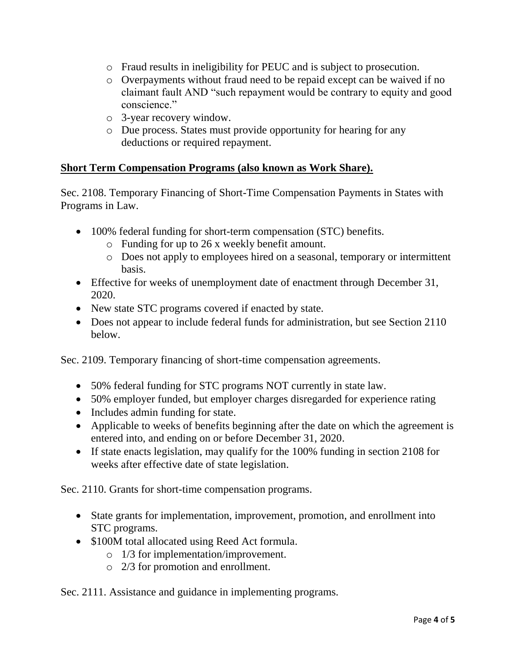- o Fraud results in ineligibility for PEUC and is subject to prosecution.
- o Overpayments without fraud need to be repaid except can be waived if no claimant fault AND "such repayment would be contrary to equity and good conscience."
- o 3-year recovery window.
- o Due process. States must provide opportunity for hearing for any deductions or required repayment.

#### **Short Term Compensation Programs (also known as Work Share).**

Sec. 2108. Temporary Financing of Short-Time Compensation Payments in States with Programs in Law.

- 100% federal funding for short-term compensation (STC) benefits.
	- o Funding for up to 26 x weekly benefit amount.
	- o Does not apply to employees hired on a seasonal, temporary or intermittent basis.
- Effective for weeks of unemployment date of enactment through December 31, 2020.
- New state STC programs covered if enacted by state.
- Does not appear to include federal funds for administration, but see Section 2110 below.

Sec. 2109. Temporary financing of short-time compensation agreements.

- 50% federal funding for STC programs NOT currently in state law.
- 50% employer funded, but employer charges disregarded for experience rating
- Includes admin funding for state.
- Applicable to weeks of benefits beginning after the date on which the agreement is entered into, and ending on or before December 31, 2020.
- If state enacts legislation, may qualify for the 100% funding in section 2108 for weeks after effective date of state legislation.

Sec. 2110. Grants for short-time compensation programs.

- State grants for implementation, improvement, promotion, and enrollment into STC programs.
- \$100M total allocated using Reed Act formula.
	- o 1/3 for implementation/improvement.
	- o 2/3 for promotion and enrollment.

Sec. 2111. Assistance and guidance in implementing programs.